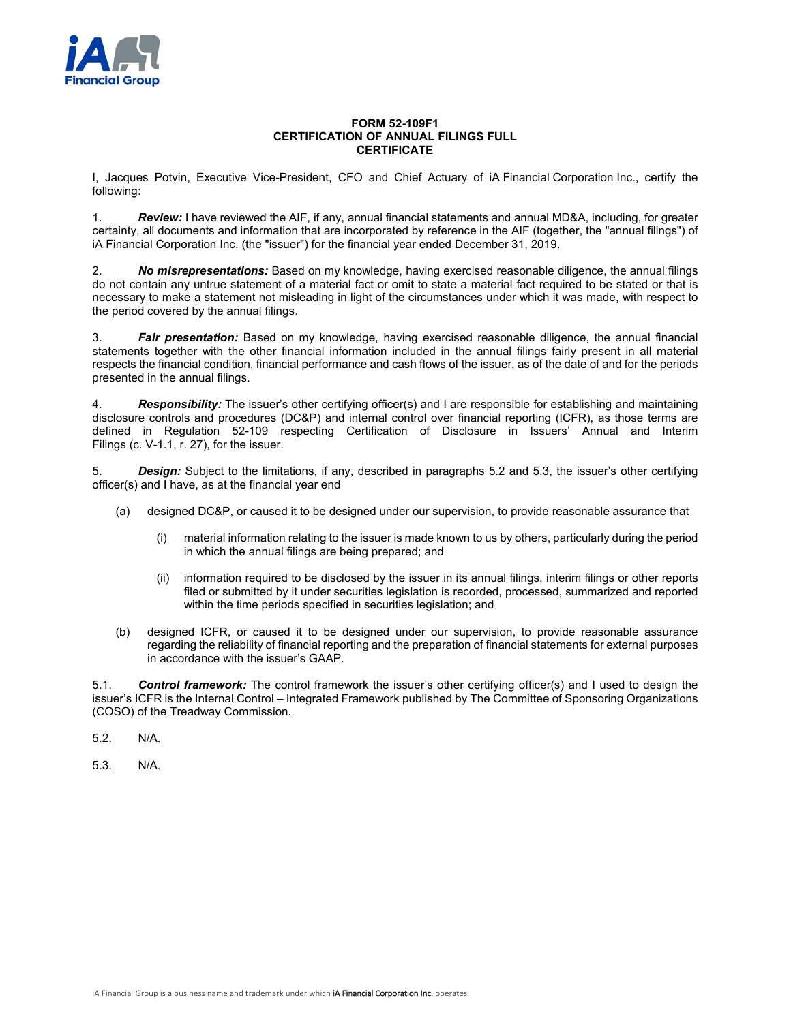

## **FORM 52-109F1 CERTIFICATION OF ANNUAL FILINGS FULL CERTIFICATE**

I, Jacques Potvin, Executive Vice-President, CFO and Chief Actuary of iA Financial Corporation Inc., certify the following:

1. *Review:* I have reviewed the AIF, if any, annual financial statements and annual MD&A, including, for greater certainty, all documents and information that are incorporated by reference in the AIF (together, the "annual filings") of iA Financial Corporation Inc. (the "issuer") for the financial year ended December 31, 2019.

2. *No misrepresentations:* Based on my knowledge, having exercised reasonable diligence, the annual filings do not contain any untrue statement of a material fact or omit to state a material fact required to be stated or that is necessary to make a statement not misleading in light of the circumstances under which it was made, with respect to the period covered by the annual filings.

3. *Fair presentation:* Based on my knowledge, having exercised reasonable diligence, the annual financial statements together with the other financial information included in the annual filings fairly present in all material respects the financial condition, financial performance and cash flows of the issuer, as of the date of and for the periods presented in the annual filings.

4. *Responsibility:* The issuer's other certifying officer(s) and I are responsible for establishing and maintaining disclosure controls and procedures (DC&P) and internal control over financial reporting (ICFR), as those terms are defined in Regulation 52-109 respecting Certification of Disclosure in Issuers' Annual and Interim Filings (c. V-1.1, r. 27), for the issuer.

5. *Design:* Subject to the limitations, if any, described in paragraphs 5.2 and 5.3, the issuer's other certifying officer(s) and I have, as at the financial year end

- (a) designed DC&P, or caused it to be designed under our supervision, to provide reasonable assurance that
	- material information relating to the issuer is made known to us by others, particularly during the period in which the annual filings are being prepared; and
	- (ii) information required to be disclosed by the issuer in its annual filings, interim filings or other reports filed or submitted by it under securities legislation is recorded, processed, summarized and reported within the time periods specified in securities legislation; and
- (b) designed ICFR, or caused it to be designed under our supervision, to provide reasonable assurance regarding the reliability of financial reporting and the preparation of financial statements for external purposes in accordance with the issuer's GAAP.

5.1. *Control framework:* The control framework the issuer's other certifying officer(s) and I used to design the issuer's ICFR is the Internal Control – Integrated Framework published by The Committee of Sponsoring Organizations (COSO) of the Treadway Commission.

5.2. N/A.

5.3. N/A.